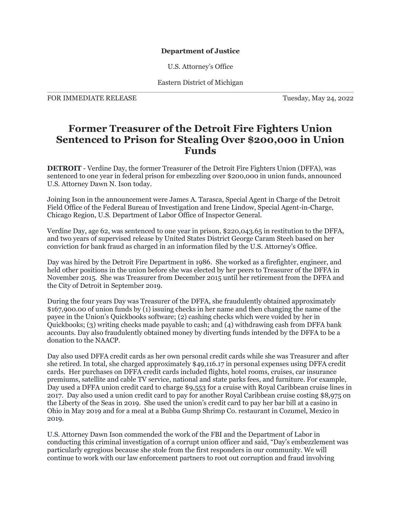## **Department of Justice**

U.S. Attorney's Office

Eastern District of Michigan

FOR IMMEDIATE RELEASE TUESDAY, May 24, 2022

## **Former Treasurer of the Detroit Fire Fighters Union Sentenced to Prison for Stealing Over \$200,000 in Union Funds**

**DETROIT** - Verdine Day, the former Treasurer of the Detroit Fire Fighters Union (DFFA), was sentenced to one year in federal prison for embezzling over \$200,000 in union funds, announced U.S. Attorney Dawn N. Ison today.

Joining Ison in the announcement were James A. Tarasca, Special Agent in Charge of the Detroit Field Office of the Federal Bureau of Investigation and Irene Lindow, Special Agent-in-Charge, Chicago Region, U.S. Department of Labor Office of Inspector General.

Verdine Day, age 62, was sentenced to one year in prison, \$220,043.65 in restitution to the DFFA, and two years of supervised release by United States District George Caram Steeh based on her conviction for bank fraud as charged in an information filed by the U.S. Attorney's Office.

Day was hired by the Detroit Fire Department in 1986. She worked as a firefighter, engineer, and held other positions in the union before she was elected by her peers to Treasurer of the DFFA in November 2015. She was Treasurer from December 2015 until her retirement from the DFFA and the City of Detroit in September 2019.

During the four years Day was Treasurer of the DFFA, she fraudulently obtained approximately \$167,900.00 of union funds by (1) issuing checks in her name and then changing the name of the payee in the Union's Quickbooks software; (2) cashing checks which were voided by her in Quickbooks; (3) writing checks made payable to cash; and (4) withdrawing cash from DFFA bank accounts. Day also fraudulently obtained money by diverting funds intended by the DFFA to be a donation to the NAACP.

Day also used DFFA credit cards as her own personal credit cards while she was Treasurer and after she retired. In total, she charged approximately \$49,116.17 in personal expenses using DFFA credit cards. Her purchases on DFFA credit cards included flights, hotel rooms, cruises, car insurance premiums, satellite and cable TV service, national and state parks fees, and furniture. For example, Day used a DFFA union credit card to charge \$9,553 for a cruise with Royal Caribbean cruise lines in 2017. Day also used a union credit card to pay for another Royal Caribbean cruise costing \$8,975 on the Liberty of the Seas in 2019. She used the union's credit card to pay her bar bill at a casino in Ohio in May 2019 and for a meal at a Bubba Gump Shrimp Co. restaurant in Cozumel, Mexico in 2019.

U.S. Attorney Dawn Ison commended the work of the FBI and the Department of Labor in conducting this criminal investigation of a corrupt union officer and said, "Day's embezzlement was particularly egregious because she stole from the first responders in our community. We will continue to work with our law enforcement partners to root out corruption and fraud involving